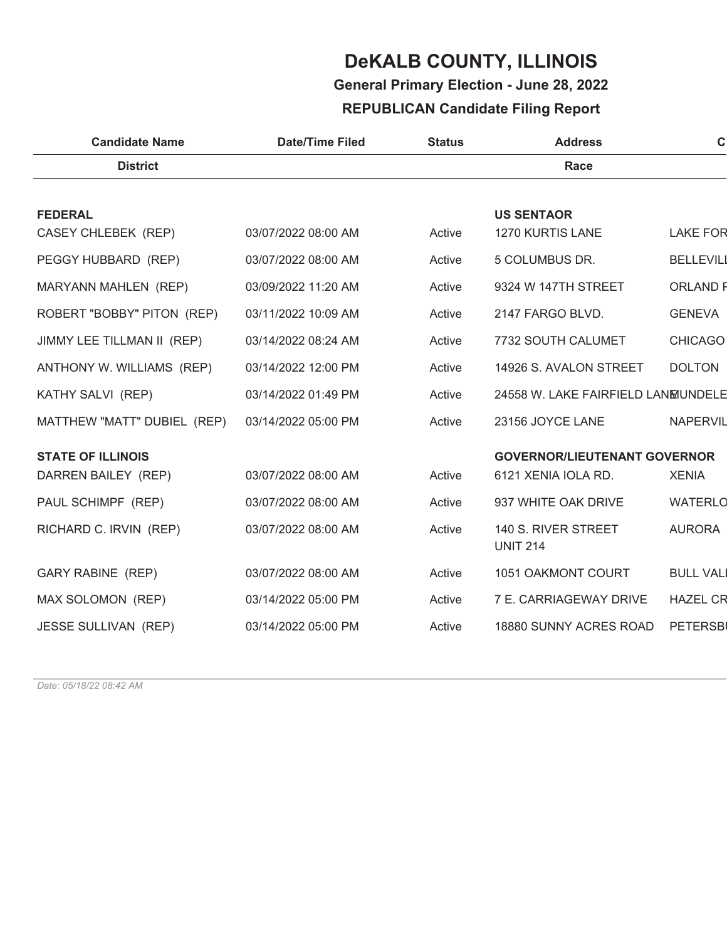# **General Primary Election - June 28, 2022**

### **REPUBLICAN Candidate Filing Report**

| <b>Candidate Name</b>       | <b>Date/Time Filed</b> | <b>Status</b> | <b>Address</b>                         | $\mathbf C$      |
|-----------------------------|------------------------|---------------|----------------------------------------|------------------|
| <b>District</b>             |                        |               | <b>Race</b>                            |                  |
|                             |                        |               |                                        |                  |
| <b>FEDERAL</b>              |                        |               | <b>US SENTAOR</b>                      |                  |
| CASEY CHLEBEK (REP)         | 03/07/2022 08:00 AM    | Active        | 1270 KURTIS LANE                       | <b>LAKE FOR</b>  |
| PEGGY HUBBARD (REP)         | 03/07/2022 08:00 AM    | Active        | 5 COLUMBUS DR.                         | <b>BELLEVILI</b> |
| MARYANN MAHLEN (REP)        | 03/09/2022 11:20 AM    | Active        | 9324 W 147TH STREET                    | <b>ORLAND F</b>  |
| ROBERT "BOBBY" PITON (REP)  | 03/11/2022 10:09 AM    | Active        | 2147 FARGO BLVD.                       | <b>GENEVA</b>    |
| JIMMY LEE TILLMAN II (REP)  | 03/14/2022 08:24 AM    | Active        | 7732 SOUTH CALUMET                     | <b>CHICAGO</b>   |
| ANTHONY W. WILLIAMS (REP)   | 03/14/2022 12:00 PM    | Active        | 14926 S. AVALON STREET                 | <b>DOLTON</b>    |
| KATHY SALVI (REP)           | 03/14/2022 01:49 PM    | Active        | 24558 W. LAKE FAIRFIELD LANEUNDELE     |                  |
| MATTHEW "MATT" DUBIEL (REP) | 03/14/2022 05:00 PM    | Active        | 23156 JOYCE LANE                       | <b>NAPERVIL</b>  |
| <b>STATE OF ILLINOIS</b>    |                        |               | <b>GOVERNOR/LIEUTENANT GOVERNOR</b>    |                  |
| DARREN BAILEY (REP)         | 03/07/2022 08:00 AM    | Active        | 6121 XENIA IOLA RD.                    | <b>XENIA</b>     |
| PAUL SCHIMPF (REP)          | 03/07/2022 08:00 AM    | Active        | 937 WHITE OAK DRIVE                    | <b>WATERLO</b>   |
| RICHARD C. IRVIN (REP)      | 03/07/2022 08:00 AM    | Active        | 140 S. RIVER STREET<br><b>UNIT 214</b> | <b>AURORA</b>    |
| <b>GARY RABINE (REP)</b>    | 03/07/2022 08:00 AM    | Active        | 1051 OAKMONT COURT                     | <b>BULL VALI</b> |
| MAX SOLOMON (REP)           | 03/14/2022 05:00 PM    | Active        | 7 E. CARRIAGEWAY DRIVE                 | <b>HAZEL CR</b>  |
| <b>JESSE SULLIVAN (REP)</b> | 03/14/2022 05:00 PM    | Active        | 18880 SUNNY ACRES ROAD                 | <b>PETERSBI</b>  |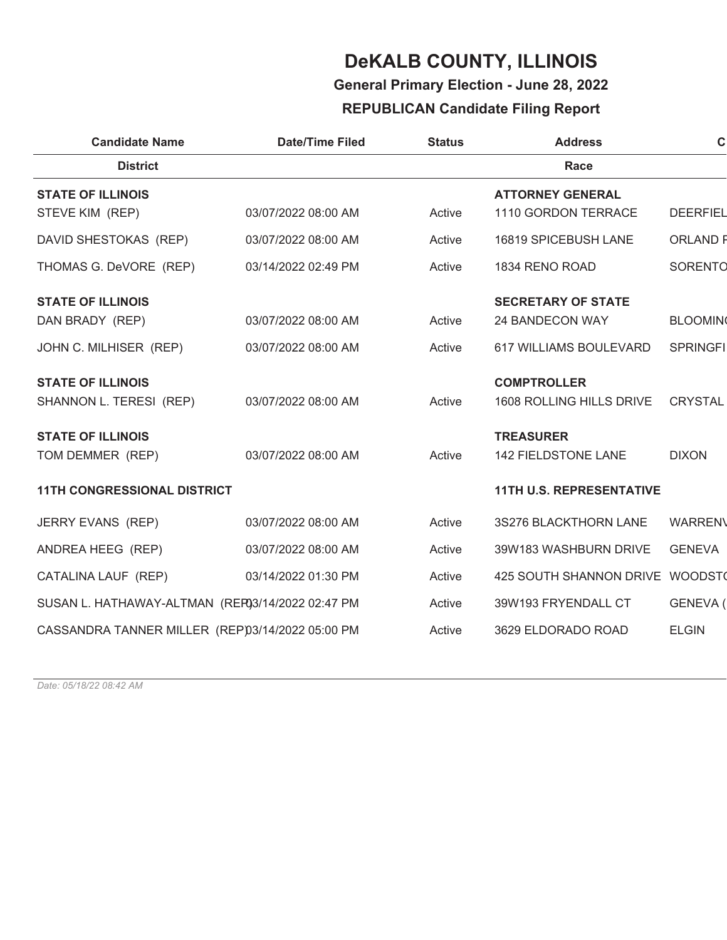**General Primary Election - June 28, 2022**

### **REPUBLICAN Candidate Filing Report**

| <b>Candidate Name</b>                            | <b>Date/Time Filed</b> | <b>Status</b> | <b>Address</b>                  | $\mathbf C$     |
|--------------------------------------------------|------------------------|---------------|---------------------------------|-----------------|
| <b>District</b>                                  |                        |               | Race                            |                 |
| <b>STATE OF ILLINOIS</b>                         |                        |               | <b>ATTORNEY GENERAL</b>         |                 |
| STEVE KIM (REP)                                  | 03/07/2022 08:00 AM    | Active        | 1110 GORDON TERRACE             | <b>DEERFIEL</b> |
| DAVID SHESTOKAS (REP)                            | 03/07/2022 08:00 AM    | Active        | 16819 SPICEBUSH LANE            | <b>ORLAND F</b> |
| THOMAS G. DeVORE (REP)                           | 03/14/2022 02:49 PM    | Active        | 1834 RENO ROAD                  | <b>SORENTO</b>  |
| <b>STATE OF ILLINOIS</b>                         |                        |               | <b>SECRETARY OF STATE</b>       |                 |
| DAN BRADY (REP)                                  | 03/07/2022 08:00 AM    | Active        | 24 BANDECON WAY                 | <b>BLOOMIN</b>  |
| JOHN C. MILHISER (REP)                           | 03/07/2022 08:00 AM    | Active        | 617 WILLIAMS BOULEVARD          | <b>SPRINGFI</b> |
| <b>STATE OF ILLINOIS</b>                         |                        |               | <b>COMPTROLLER</b>              |                 |
| SHANNON L. TERESI (REP)                          | 03/07/2022 08:00 AM    | Active        | 1608 ROLLING HILLS DRIVE        | <b>CRYSTAL</b>  |
| <b>STATE OF ILLINOIS</b>                         |                        |               | <b>TREASURER</b>                |                 |
| TOM DEMMER (REP)                                 | 03/07/2022 08:00 AM    | Active        | 142 FIELDSTONE LANE             | <b>DIXON</b>    |
| <b>11TH CONGRESSIONAL DISTRICT</b>               |                        |               | <b>11TH U.S. REPRESENTATIVE</b> |                 |
| JERRY EVANS (REP)                                | 03/07/2022 08:00 AM    | Active        | 3S276 BLACKTHORN LANE           | <b>WARREN\</b>  |
| ANDREA HEEG (REP)                                | 03/07/2022 08:00 AM    | Active        | 39W183 WASHBURN DRIVE           | <b>GENEVA</b>   |
| CATALINA LAUF (REP)                              | 03/14/2022 01:30 PM    | Active        | <b>425 SOUTH SHANNON DRIVE</b>  | WOODST          |
| SUSAN L. HATHAWAY-ALTMAN (REF03/14/2022 02:47 PM |                        | Active        | 39W193 FRYENDALL CT             | GENEVA (        |
| CASSANDRA TANNER MILLER (REP)3/14/2022 05:00 PM  |                        | Active        | 3629 ELDORADO ROAD              | <b>ELGIN</b>    |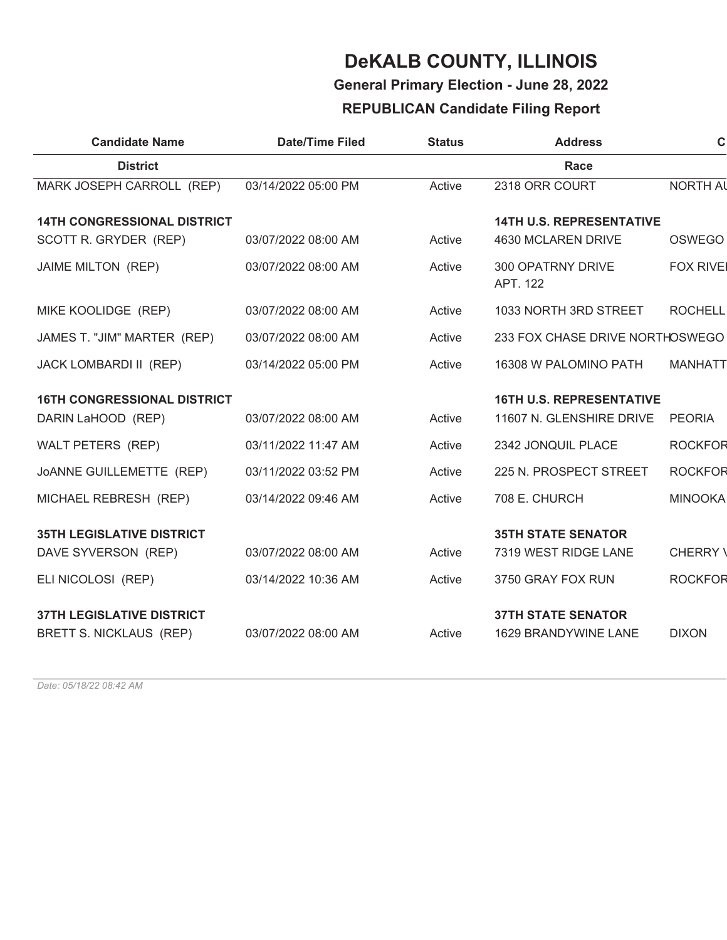### **General Primary Election - June 28, 2022**

### **REPUBLICAN Candidate Filing Report**

| <b>Candidate Name</b>                                       | <b>Date/Time Filed</b> | <b>Status</b> | <b>Address</b>                                              | $\mathbf C$     |
|-------------------------------------------------------------|------------------------|---------------|-------------------------------------------------------------|-----------------|
| <b>District</b>                                             |                        |               | Race                                                        |                 |
| MARK JOSEPH CARROLL (REP)                                   | 03/14/2022 05:00 PM    | Active        | 2318 ORR COURT                                              | <b>NORTH AL</b> |
| <b>14TH CONGRESSIONAL DISTRICT</b>                          |                        |               | <b>14TH U.S. REPRESENTATIVE</b>                             |                 |
| SCOTT R. GRYDER (REP)                                       | 03/07/2022 08:00 AM    | Active        | 4630 MCLAREN DRIVE                                          | <b>OSWEGO</b>   |
| JAIME MILTON (REP)                                          | 03/07/2022 08:00 AM    | Active        | 300 OPATRNY DRIVE<br>APT. 122                               | <b>FOX RIVE</b> |
| MIKE KOOLIDGE (REP)                                         | 03/07/2022 08:00 AM    | Active        | 1033 NORTH 3RD STREET                                       | <b>ROCHELL</b>  |
| JAMES T. "JIM" MARTER (REP)                                 | 03/07/2022 08:00 AM    | Active        | 233 FOX CHASE DRIVE NORTHOSWEGO                             |                 |
| JACK LOMBARDI II (REP)                                      | 03/14/2022 05:00 PM    | Active        | 16308 W PALOMINO PATH                                       | <b>MANHATT</b>  |
| <b>16TH CONGRESSIONAL DISTRICT</b><br>DARIN LaHOOD (REP)    | 03/07/2022 08:00 AM    | Active        | <b>16TH U.S. REPRESENTATIVE</b><br>11607 N. GLENSHIRE DRIVE | <b>PEORIA</b>   |
| WALT PETERS (REP)                                           | 03/11/2022 11:47 AM    | Active        | 2342 JONQUIL PLACE                                          | <b>ROCKFOR</b>  |
| JOANNE GUILLEMETTE (REP)                                    | 03/11/2022 03:52 PM    | Active        | 225 N. PROSPECT STREET                                      | <b>ROCKFOR</b>  |
| MICHAEL REBRESH (REP)                                       | 03/14/2022 09:46 AM    | Active        | 708 E. CHURCH                                               | <b>MINOOKA</b>  |
| <b>35TH LEGISLATIVE DISTRICT</b><br>DAVE SYVERSON (REP)     | 03/07/2022 08:00 AM    | Active        | <b>35TH STATE SENATOR</b><br>7319 WEST RIDGE LANE           | CHERRY \        |
| ELI NICOLOSI (REP)                                          | 03/14/2022 10:36 AM    | Active        | 3750 GRAY FOX RUN                                           | <b>ROCKFOR</b>  |
| <b>37TH LEGISLATIVE DISTRICT</b><br>BRETT S. NICKLAUS (REP) | 03/07/2022 08:00 AM    | Active        | <b>37TH STATE SENATOR</b><br><b>1629 BRANDYWINE LANE</b>    | <b>DIXON</b>    |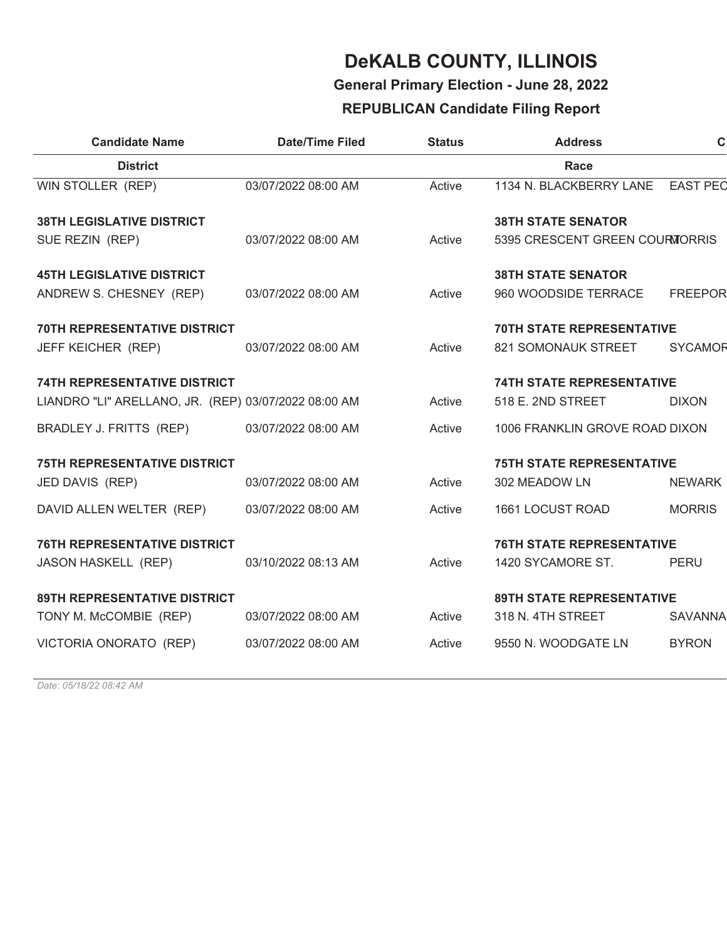**General Primary Election - June 28, 2022**

### **REPUBLICAN Candidate Filing Report**

| <b>Date/Time Filed</b>                               | <b>Status</b> | <b>Address</b>            | $\mathbf C$                                                                                                                                                                                                                                          |
|------------------------------------------------------|---------------|---------------------------|------------------------------------------------------------------------------------------------------------------------------------------------------------------------------------------------------------------------------------------------------|
|                                                      |               | Race                      |                                                                                                                                                                                                                                                      |
| 03/07/2022 08:00 AM                                  | Active        | 1134 N. BLACKBERRY LANE   | <b>EAST PEC</b>                                                                                                                                                                                                                                      |
|                                                      |               | <b>38TH STATE SENATOR</b> |                                                                                                                                                                                                                                                      |
| 03/07/2022 08:00 AM                                  | Active        |                           |                                                                                                                                                                                                                                                      |
|                                                      |               | <b>38TH STATE SENATOR</b> |                                                                                                                                                                                                                                                      |
| 03/07/2022 08:00 AM                                  | Active        | 960 WOODSIDE TERRACE      | <b>FREEPOR</b>                                                                                                                                                                                                                                       |
|                                                      |               |                           |                                                                                                                                                                                                                                                      |
| 03/07/2022 08:00 AM                                  | Active        | 821 SOMONAUK STREET       | <b>SYCAMOR</b>                                                                                                                                                                                                                                       |
|                                                      |               |                           |                                                                                                                                                                                                                                                      |
| LIANDRO "LI" ARELLANO, JR. (REP) 03/07/2022 08:00 AM | Active        | 518 E. 2ND STREET         | <b>DIXON</b>                                                                                                                                                                                                                                         |
| 03/07/2022 08:00 AM                                  | Active        |                           |                                                                                                                                                                                                                                                      |
|                                                      |               |                           |                                                                                                                                                                                                                                                      |
| 03/07/2022 08:00 AM                                  | Active        | 302 MEADOW LN             | <b>NEWARK</b>                                                                                                                                                                                                                                        |
| 03/07/2022 08:00 AM                                  | Active        | 1661 LOCUST ROAD          | <b>MORRIS</b>                                                                                                                                                                                                                                        |
|                                                      |               |                           |                                                                                                                                                                                                                                                      |
| 03/10/2022 08:13 AM                                  | Active        | 1420 SYCAMORE ST.         | <b>PERU</b>                                                                                                                                                                                                                                          |
|                                                      |               |                           |                                                                                                                                                                                                                                                      |
| 03/07/2022 08:00 AM                                  | Active        | 318 N. 4TH STREET         | <b>SAVANNA</b>                                                                                                                                                                                                                                       |
| 03/07/2022 08:00 AM                                  | Active        | 9550 N. WOODGATE LN       | <b>BYRON</b>                                                                                                                                                                                                                                         |
|                                                      |               |                           | 5395 CRESCENT GREEN COURMORRIS<br><b>70TH STATE REPRESENTATIVE</b><br><b>74TH STATE REPRESENTATIVE</b><br>1006 FRANKLIN GROVE ROAD DIXON<br><b>75TH STATE REPRESENTATIVE</b><br><b>76TH STATE REPRESENTATIVE</b><br><b>89TH STATE REPRESENTATIVE</b> |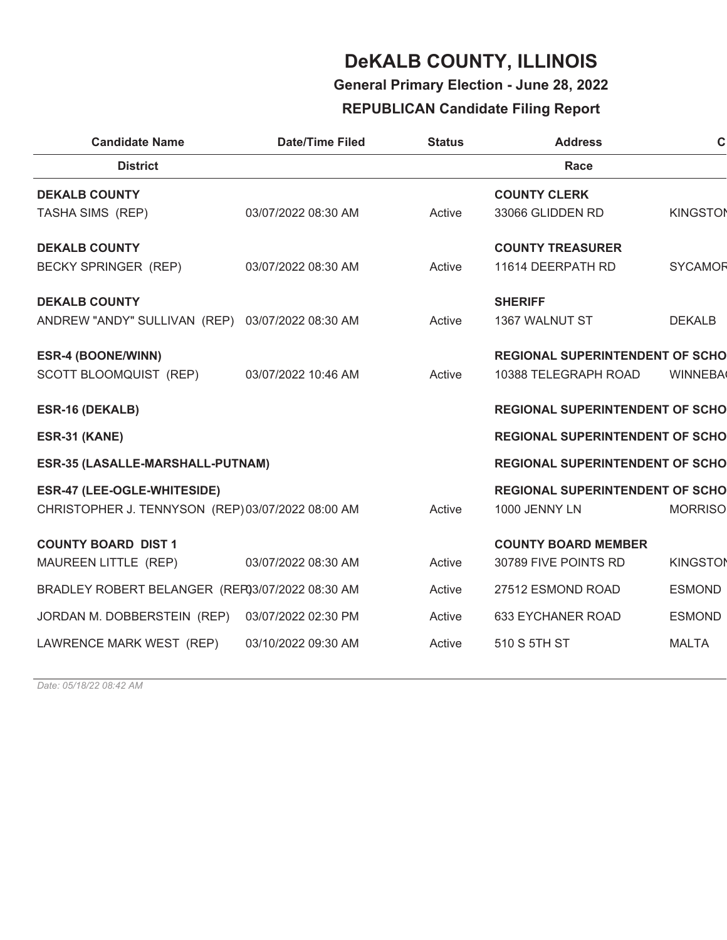**General Primary Election - June 28, 2022**

### **REPUBLICAN Candidate Filing Report**

| <b>Candidate Name</b>                            | <b>Date/Time Filed</b> | <b>Status</b> | <b>Address</b>                         | $\mathbf C$     |
|--------------------------------------------------|------------------------|---------------|----------------------------------------|-----------------|
| <b>District</b>                                  |                        |               | Race                                   |                 |
| <b>DEKALB COUNTY</b>                             |                        |               | <b>COUNTY CLERK</b>                    |                 |
| TASHA SIMS (REP)                                 | 03/07/2022 08:30 AM    | Active        | 33066 GLIDDEN RD                       | <b>KINGSTON</b> |
| <b>DEKALB COUNTY</b>                             |                        |               | <b>COUNTY TREASURER</b>                |                 |
| <b>BECKY SPRINGER (REP)</b>                      | 03/07/2022 08:30 AM    | Active        | 11614 DEERPATH RD                      | <b>SYCAMOR</b>  |
|                                                  |                        |               |                                        |                 |
| <b>DEKALB COUNTY</b>                             |                        |               | <b>SHERIFF</b>                         |                 |
| ANDREW "ANDY" SULLIVAN (REP) 03/07/2022 08:30 AM |                        | Active        | 1367 WALNUT ST                         | <b>DEKALB</b>   |
| ESR-4 (BOONE/WINN)                               |                        |               | <b>REGIONAL SUPERINTENDENT OF SCHO</b> |                 |
| SCOTT BLOOMQUIST (REP)                           | 03/07/2022 10:46 AM    | Active        | 10388 TELEGRAPH ROAD                   | <b>WINNEBA</b>  |
| ESR-16 (DEKALB)                                  |                        |               | <b>REGIONAL SUPERINTENDENT OF SCHO</b> |                 |
| <b>ESR-31 (KANE)</b>                             |                        |               | <b>REGIONAL SUPERINTENDENT OF SCHO</b> |                 |
|                                                  |                        |               |                                        |                 |
| ESR-35 (LASALLE-MARSHALL-PUTNAM)                 |                        |               | <b>REGIONAL SUPERINTENDENT OF SCHO</b> |                 |
| ESR-47 (LEE-OGLE-WHITESIDE)                      |                        |               | <b>REGIONAL SUPERINTENDENT OF SCHO</b> |                 |
| CHRISTOPHER J. TENNYSON (REP)03/07/2022 08:00 AM |                        | Active        | 1000 JENNY LN                          | <b>MORRISO</b>  |
| <b>COUNTY BOARD DIST 1</b>                       |                        |               | <b>COUNTY BOARD MEMBER</b>             |                 |
| MAUREEN LITTLE (REP)                             | 03/07/2022 08:30 AM    | Active        | 30789 FIVE POINTS RD                   | <b>KINGSTON</b> |
| BRADLEY ROBERT BELANGER (REP03/07/2022 08:30 AM  |                        | Active        | 27512 ESMOND ROAD                      | <b>ESMOND</b>   |
|                                                  |                        |               |                                        |                 |
| JORDAN M. DOBBERSTEIN (REP)                      | 03/07/2022 02:30 PM    | Active        | <b>633 EYCHANER ROAD</b>               | <b>ESMOND</b>   |
| LAWRENCE MARK WEST (REP)                         | 03/10/2022 09:30 AM    | Active        | 510 S 5TH ST                           | <b>MALTA</b>    |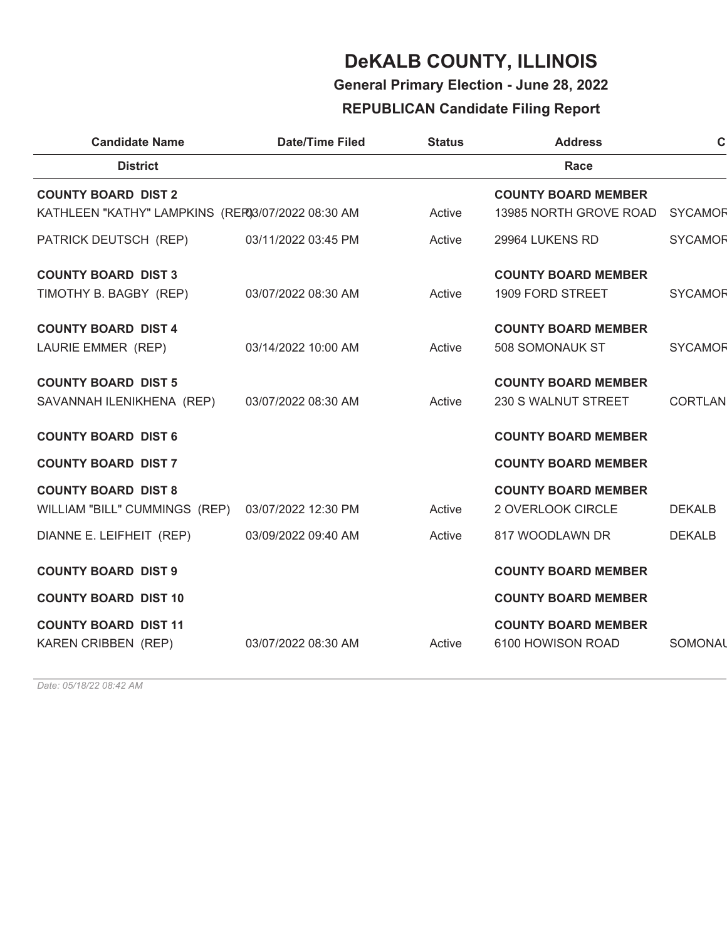**General Primary Election - June 28, 2022**

### **REPUBLICAN Candidate Filing Report**

| <b>Candidate Name</b>                             | <b>Date/Time Filed</b> | <b>Status</b> | <b>Address</b>             | $\mathbf C$    |
|---------------------------------------------------|------------------------|---------------|----------------------------|----------------|
| <b>District</b>                                   |                        |               | Race                       |                |
| <b>COUNTY BOARD DIST 2</b>                        |                        |               | <b>COUNTY BOARD MEMBER</b> |                |
| KATHLEEN "KATHY" LAMPKINS (REF03/07/2022 08:30 AM |                        | Active        | 13985 NORTH GROVE ROAD     | <b>SYCAMOR</b> |
| PATRICK DEUTSCH (REP)                             | 03/11/2022 03:45 PM    | Active        | 29964 LUKENS RD            | <b>SYCAMOR</b> |
| <b>COUNTY BOARD DIST 3</b>                        |                        |               | <b>COUNTY BOARD MEMBER</b> |                |
| TIMOTHY B. BAGBY (REP)                            | 03/07/2022 08:30 AM    | Active        | 1909 FORD STREET           | <b>SYCAMOR</b> |
| <b>COUNTY BOARD DIST 4</b>                        |                        |               | <b>COUNTY BOARD MEMBER</b> |                |
| LAURIE EMMER (REP)                                | 03/14/2022 10:00 AM    | Active        | 508 SOMONAUK ST            | <b>SYCAMOR</b> |
| <b>COUNTY BOARD DIST 5</b>                        |                        |               | <b>COUNTY BOARD MEMBER</b> |                |
| SAVANNAH ILENIKHENA (REP)                         | 03/07/2022 08:30 AM    | Active        | 230 S WALNUT STREET        | <b>CORTLAN</b> |
| <b>COUNTY BOARD DIST 6</b>                        |                        |               | <b>COUNTY BOARD MEMBER</b> |                |
| <b>COUNTY BOARD DIST 7</b>                        |                        |               | <b>COUNTY BOARD MEMBER</b> |                |
| <b>COUNTY BOARD DIST 8</b>                        |                        |               | <b>COUNTY BOARD MEMBER</b> |                |
| WILLIAM "BILL" CUMMINGS (REP)                     | 03/07/2022 12:30 PM    | Active        | 2 OVERLOOK CIRCLE          | <b>DEKALB</b>  |
| DIANNE E. LEIFHEIT (REP)                          | 03/09/2022 09:40 AM    | Active        | 817 WOODLAWN DR            | <b>DEKALB</b>  |
| <b>COUNTY BOARD DIST 9</b>                        |                        |               | <b>COUNTY BOARD MEMBER</b> |                |
| <b>COUNTY BOARD DIST 10</b>                       |                        |               | <b>COUNTY BOARD MEMBER</b> |                |
| <b>COUNTY BOARD DIST 11</b>                       |                        |               | <b>COUNTY BOARD MEMBER</b> |                |
| KAREN CRIBBEN (REP)                               | 03/07/2022 08:30 AM    | Active        | 6100 HOWISON ROAD          | SOMONAL        |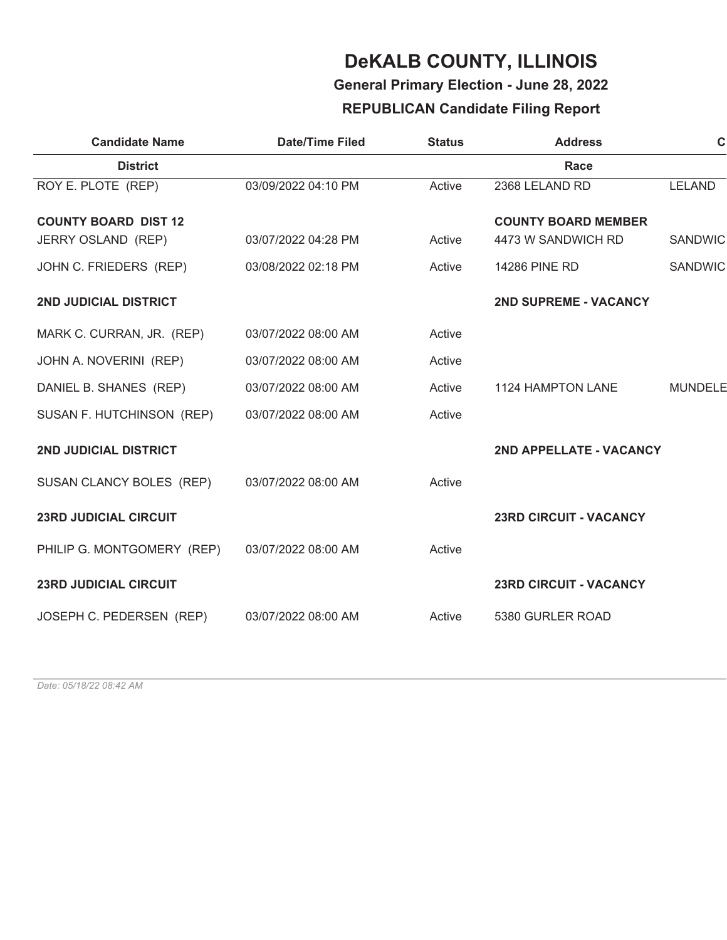### **General Primary Election - June 28, 2022**

### **REPUBLICAN Candidate Filing Report**

| <b>Candidate Name</b>        | <b>Date/Time Filed</b> | <b>Status</b> | <b>Address</b>                | $\mathbf C$    |
|------------------------------|------------------------|---------------|-------------------------------|----------------|
| <b>District</b>              |                        |               | Race                          |                |
| ROY E. PLOTE (REP)           | 03/09/2022 04:10 PM    | Active        | 2368 LELAND RD                | <b>LELAND</b>  |
| <b>COUNTY BOARD DIST 12</b>  |                        |               | <b>COUNTY BOARD MEMBER</b>    |                |
| <b>JERRY OSLAND (REP)</b>    | 03/07/2022 04:28 PM    | Active        | 4473 W SANDWICH RD            | <b>SANDWIC</b> |
| JOHN C. FRIEDERS (REP)       | 03/08/2022 02:18 PM    | Active        | 14286 PINE RD                 | <b>SANDWIC</b> |
| 2ND JUDICIAL DISTRICT        |                        |               | <b>2ND SUPREME - VACANCY</b>  |                |
| MARK C. CURRAN, JR. (REP)    | 03/07/2022 08:00 AM    | Active        |                               |                |
| JOHN A. NOVERINI (REP)       | 03/07/2022 08:00 AM    | Active        |                               |                |
| DANIEL B. SHANES (REP)       | 03/07/2022 08:00 AM    | Active        | <b>1124 HAMPTON LANE</b>      | <b>MUNDELE</b> |
| SUSAN F. HUTCHINSON (REP)    | 03/07/2022 08:00 AM    | Active        |                               |                |
| <b>2ND JUDICIAL DISTRICT</b> |                        |               | 2ND APPELLATE - VACANCY       |                |
| SUSAN CLANCY BOLES (REP)     | 03/07/2022 08:00 AM    | Active        |                               |                |
| <b>23RD JUDICIAL CIRCUIT</b> |                        |               | <b>23RD CIRCUIT - VACANCY</b> |                |
| PHILIP G. MONTGOMERY (REP)   | 03/07/2022 08:00 AM    | Active        |                               |                |
| <b>23RD JUDICIAL CIRCUIT</b> |                        |               | <b>23RD CIRCUIT - VACANCY</b> |                |
| JOSEPH C. PEDERSEN (REP)     | 03/07/2022 08:00 AM    | Active        | 5380 GURLER ROAD              |                |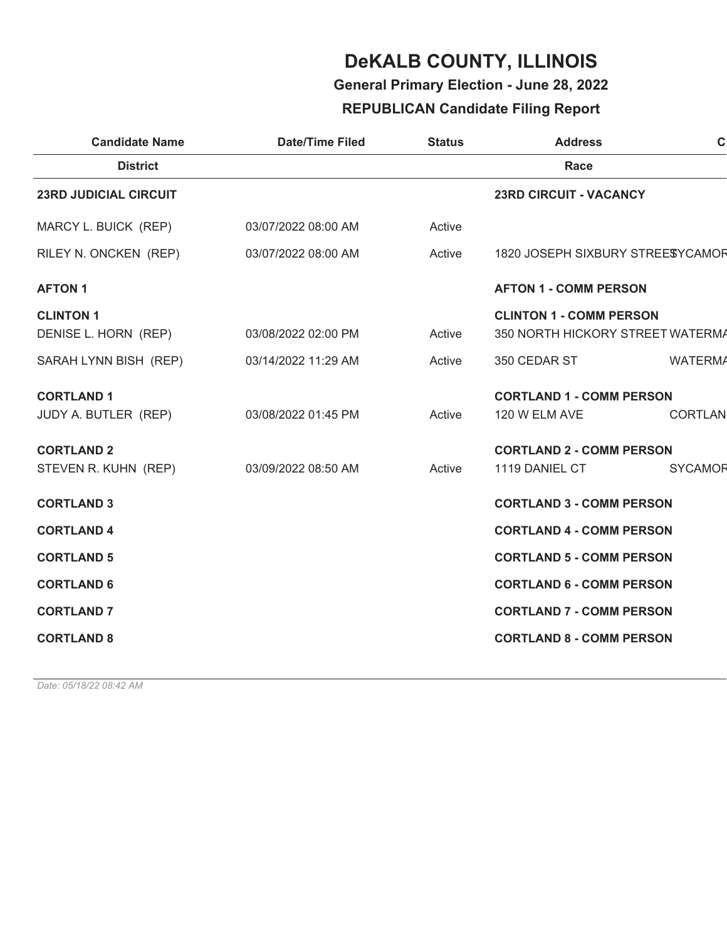**General Primary Election - June 28, 2022**

### **REPUBLICAN Candidate Filing Report**

| <b>Candidate Name</b>        | <b>Date/Time Filed</b> | <b>Status</b> | <b>Address</b>                   | $\mathbf C$    |
|------------------------------|------------------------|---------------|----------------------------------|----------------|
| <b>District</b>              |                        |               | Race                             |                |
| <b>23RD JUDICIAL CIRCUIT</b> |                        |               | <b>23RD CIRCUIT - VACANCY</b>    |                |
| MARCY L. BUICK (REP)         | 03/07/2022 08:00 AM    | Active        |                                  |                |
| RILEY N. ONCKEN (REP)        | 03/07/2022 08:00 AM    | Active        | 1820 JOSEPH SIXBURY STREESYCAMOR |                |
| <b>AFTON 1</b>               |                        |               | <b>AFTON 1 - COMM PERSON</b>     |                |
| <b>CLINTON 1</b>             |                        |               | <b>CLINTON 1 - COMM PERSON</b>   |                |
| DENISE L. HORN (REP)         | 03/08/2022 02:00 PM    | Active        | 350 NORTH HICKORY STREET WATERMA |                |
| SARAH LYNN BISH (REP)        | 03/14/2022 11:29 AM    | Active        | 350 CEDAR ST                     | <b>WATERMA</b> |
| <b>CORTLAND 1</b>            |                        |               | <b>CORTLAND 1 - COMM PERSON</b>  |                |
| JUDY A. BUTLER (REP)         | 03/08/2022 01:45 PM    | Active        | 120 W ELM AVE                    | <b>CORTLAN</b> |
| <b>CORTLAND 2</b>            |                        |               | <b>CORTLAND 2 - COMM PERSON</b>  |                |
| STEVEN R. KUHN (REP)         | 03/09/2022 08:50 AM    | Active        | 1119 DANIEL CT                   | <b>SYCAMOR</b> |
| <b>CORTLAND 3</b>            |                        |               | <b>CORTLAND 3 - COMM PERSON</b>  |                |
| <b>CORTLAND 4</b>            |                        |               | <b>CORTLAND 4 - COMM PERSON</b>  |                |
| <b>CORTLAND 5</b>            |                        |               | <b>CORTLAND 5 - COMM PERSON</b>  |                |
| <b>CORTLAND 6</b>            |                        |               | <b>CORTLAND 6 - COMM PERSON</b>  |                |
| <b>CORTLAND 7</b>            |                        |               | <b>CORTLAND 7 - COMM PERSON</b>  |                |
| <b>CORTLAND 8</b>            |                        |               | <b>CORTLAND 8 - COMM PERSON</b>  |                |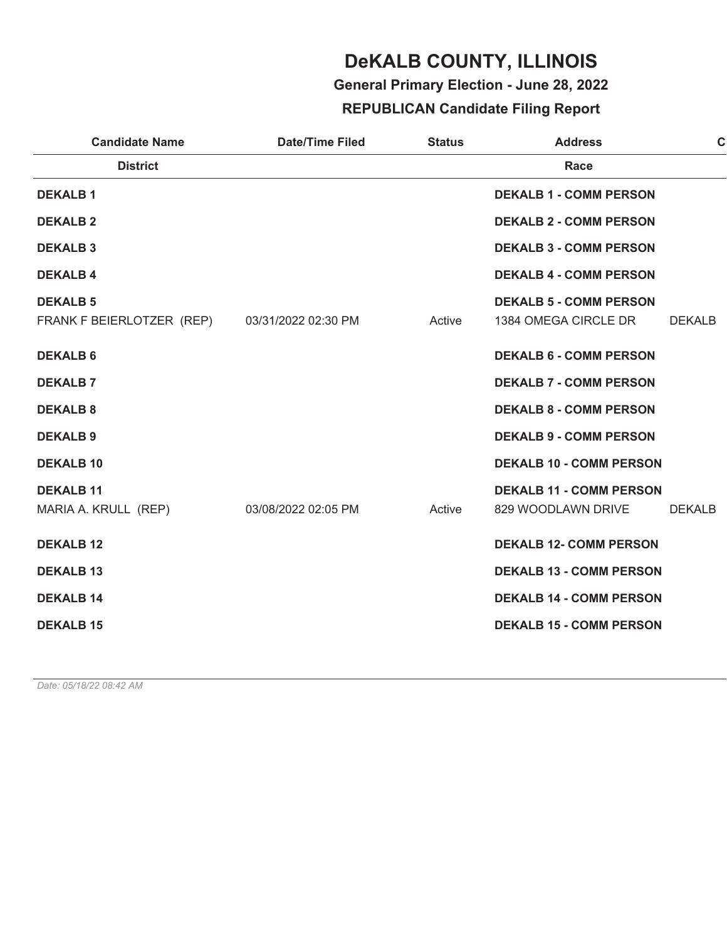**General Primary Election - June 28, 2022**

### **REPUBLICAN Candidate Filing Report**

| <b>Candidate Name</b>                                            | <b>Date/Time Filed</b> | <b>Status</b> | <b>Address</b>                                        | $\mathbf c$   |
|------------------------------------------------------------------|------------------------|---------------|-------------------------------------------------------|---------------|
| <b>District</b>                                                  |                        |               | Race                                                  |               |
| <b>DEKALB1</b>                                                   |                        |               | <b>DEKALB 1 - COMM PERSON</b>                         |               |
| <b>DEKALB 2</b>                                                  |                        |               | <b>DEKALB 2 - COMM PERSON</b>                         |               |
| <b>DEKALB3</b>                                                   |                        |               | <b>DEKALB 3 - COMM PERSON</b>                         |               |
| <b>DEKALB4</b>                                                   |                        |               | <b>DEKALB 4 - COMM PERSON</b>                         |               |
| <b>DEKALB 5</b><br>FRANK F BEIERLOTZER (REP) 03/31/2022 02:30 PM |                        | Active        | <b>DEKALB 5 - COMM PERSON</b><br>1384 OMEGA CIRCLE DR | <b>DEKALB</b> |
| <b>DEKALB 6</b>                                                  |                        |               | <b>DEKALB 6 - COMM PERSON</b>                         |               |
| <b>DEKALB7</b>                                                   |                        |               | <b>DEKALB 7 - COMM PERSON</b>                         |               |
| <b>DEKALB 8</b>                                                  |                        |               | <b>DEKALB 8 - COMM PERSON</b>                         |               |
| <b>DEKALB 9</b>                                                  |                        |               | <b>DEKALB 9 - COMM PERSON</b>                         |               |
| <b>DEKALB 10</b>                                                 |                        |               | <b>DEKALB 10 - COMM PERSON</b>                        |               |
| <b>DEKALB 11</b><br>MARIA A. KRULL (REP)                         | 03/08/2022 02:05 PM    | Active        | <b>DEKALB 11 - COMM PERSON</b><br>829 WOODLAWN DRIVE  | <b>DEKALB</b> |
| <b>DEKALB 12</b>                                                 |                        |               | <b>DEKALB 12- COMM PERSON</b>                         |               |
| <b>DEKALB 13</b>                                                 |                        |               | <b>DEKALB 13 - COMM PERSON</b>                        |               |
| <b>DEKALB 14</b>                                                 |                        |               | <b>DEKALB 14 - COMM PERSON</b>                        |               |
| <b>DEKALB 15</b>                                                 |                        |               | <b>DEKALB 15 - COMM PERSON</b>                        |               |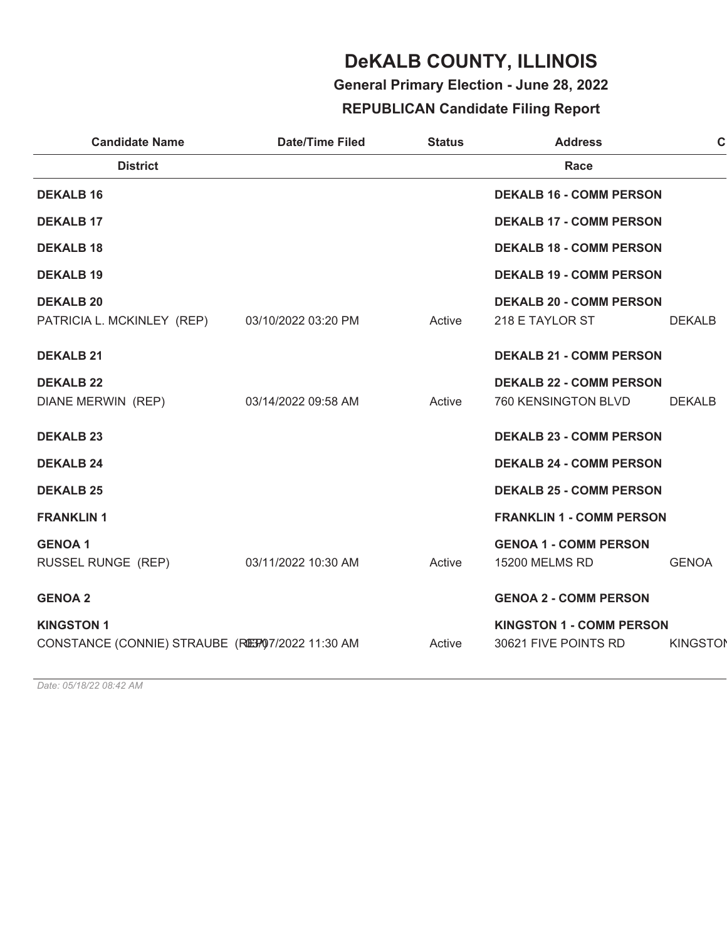**General Primary Election - June 28, 2022**

### **REPUBLICAN Candidate Filing Report**

| <b>Candidate Name</b>                                                  | <b>Date/Time Filed</b> | <b>Status</b> | <b>Address</b>                                          | $\mathbf C$     |
|------------------------------------------------------------------------|------------------------|---------------|---------------------------------------------------------|-----------------|
| <b>District</b>                                                        |                        |               | Race                                                    |                 |
| <b>DEKALB 16</b>                                                       |                        |               | <b>DEKALB 16 - COMM PERSON</b>                          |                 |
| <b>DEKALB 17</b>                                                       |                        |               | <b>DEKALB 17 - COMM PERSON</b>                          |                 |
| <b>DEKALB 18</b>                                                       |                        |               | <b>DEKALB 18 - COMM PERSON</b>                          |                 |
| <b>DEKALB 19</b>                                                       |                        |               | <b>DEKALB 19 - COMM PERSON</b>                          |                 |
| <b>DEKALB 20</b><br>PATRICIA L. MCKINLEY (REP)                         | 03/10/2022 03:20 PM    | Active        | <b>DEKALB 20 - COMM PERSON</b><br>218 E TAYLOR ST       | <b>DEKALB</b>   |
| <b>DEKALB 21</b>                                                       |                        |               | <b>DEKALB 21 - COMM PERSON</b>                          |                 |
| <b>DEKALB 22</b><br>DIANE MERWIN (REP)                                 | 03/14/2022 09:58 AM    | Active        | <b>DEKALB 22 - COMM PERSON</b><br>760 KENSINGTON BLVD   | <b>DEKALB</b>   |
| <b>DEKALB 23</b>                                                       |                        |               | <b>DEKALB 23 - COMM PERSON</b>                          |                 |
| <b>DEKALB 24</b>                                                       |                        |               | <b>DEKALB 24 - COMM PERSON</b>                          |                 |
| <b>DEKALB 25</b>                                                       |                        |               | <b>DEKALB 25 - COMM PERSON</b>                          |                 |
| <b>FRANKLIN1</b>                                                       |                        |               | <b>FRANKLIN 1 - COMM PERSON</b>                         |                 |
| <b>GENOA1</b><br>RUSSEL RUNGE (REP)                                    | 03/11/2022 10:30 AM    | Active        | <b>GENOA 1 - COMM PERSON</b><br>15200 MELMS RD          | <b>GENOA</b>    |
| <b>GENOA 2</b>                                                         |                        |               | <b>GENOA 2 - COMM PERSON</b>                            |                 |
| <b>KINGSTON 1</b><br>CONSTANCE (CONNIE) STRAUBE (REF) 07/2022 11:30 AM |                        | Active        | <b>KINGSTON 1 - COMM PERSON</b><br>30621 FIVE POINTS RD | <b>KINGSTON</b> |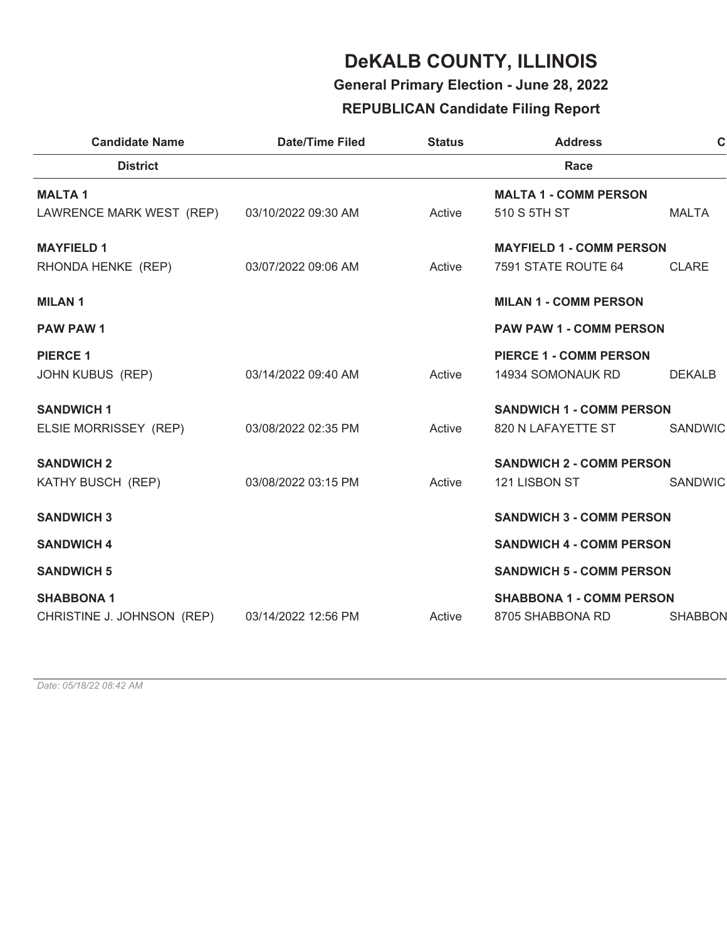**General Primary Election - June 28, 2022**

### **REPUBLICAN Candidate Filing Report**

| <b>Candidate Name</b>                      | <b>Date/Time Filed</b> | <b>Status</b> | <b>Address</b>                                     | $\mathbf C$    |
|--------------------------------------------|------------------------|---------------|----------------------------------------------------|----------------|
| <b>District</b>                            |                        |               | Race                                               |                |
| <b>MALTA1</b>                              |                        |               | <b>MALTA 1 - COMM PERSON</b>                       |                |
| LAWRENCE MARK WEST (REP)                   | 03/10/2022 09:30 AM    | Active        | 510 S 5TH ST                                       | <b>MALTA</b>   |
| <b>MAYFIELD 1</b>                          |                        |               | <b>MAYFIELD 1 - COMM PERSON</b>                    |                |
| RHONDA HENKE (REP)                         | 03/07/2022 09:06 AM    | Active        | 7591 STATE ROUTE 64                                | <b>CLARE</b>   |
| <b>MILAN1</b>                              |                        |               | <b>MILAN 1 - COMM PERSON</b>                       |                |
| <b>PAW PAW 1</b>                           |                        |               | <b>PAW PAW 1 - COMM PERSON</b>                     |                |
| <b>PIERCE 1</b><br><b>JOHN KUBUS (REP)</b> | 03/14/2022 09:40 AM    | Active        | <b>PIERCE 1 - COMM PERSON</b><br>14934 SOMONAUK RD | <b>DEKALB</b>  |
| <b>SANDWICH 1</b>                          |                        |               | <b>SANDWICH 1 - COMM PERSON</b>                    |                |
| ELSIE MORRISSEY (REP)                      | 03/08/2022 02:35 PM    | Active        | 820 N LAFAYETTE ST                                 | SANDWIC        |
| <b>SANDWICH 2</b>                          |                        |               | <b>SANDWICH 2 - COMM PERSON</b>                    |                |
| KATHY BUSCH (REP)                          | 03/08/2022 03:15 PM    | Active        | 121 LISBON ST                                      | SANDWIC        |
| <b>SANDWICH 3</b>                          |                        |               | <b>SANDWICH 3 - COMM PERSON</b>                    |                |
| <b>SANDWICH 4</b>                          |                        |               | <b>SANDWICH 4 - COMM PERSON</b>                    |                |
| <b>SANDWICH 5</b>                          |                        |               | <b>SANDWICH 5 - COMM PERSON</b>                    |                |
| <b>SHABBONA1</b>                           |                        |               | <b>SHABBONA 1 - COMM PERSON</b>                    |                |
| CHRISTINE J. JOHNSON (REP)                 | 03/14/2022 12:56 PM    | Active        | 8705 SHABBONA RD                                   | <b>SHABBON</b> |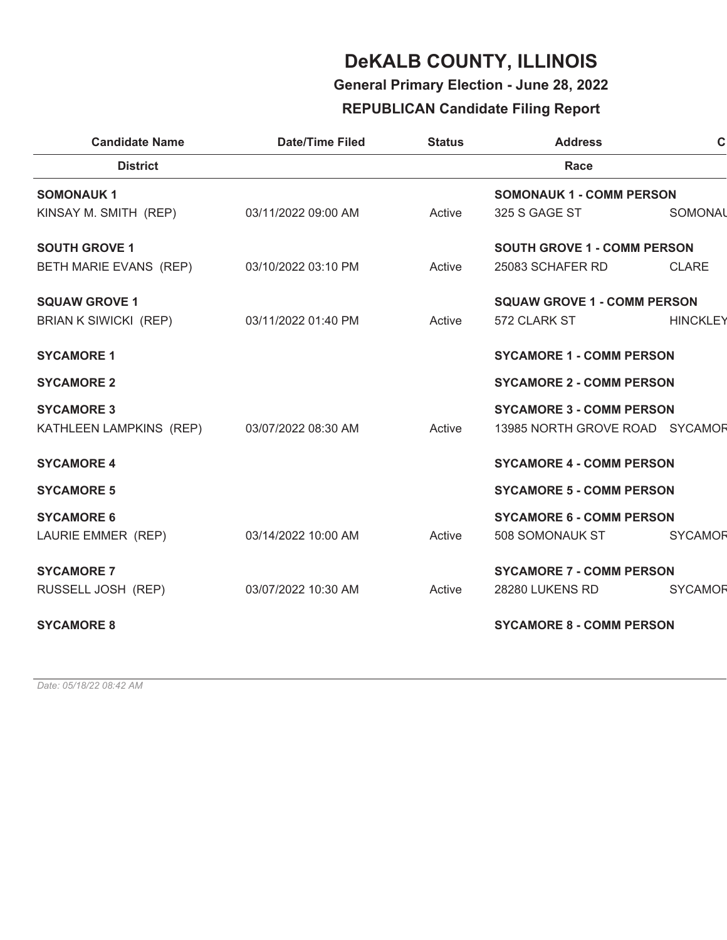**General Primary Election - June 28, 2022**

### **REPUBLICAN Candidate Filing Report**

| <b>Candidate Name</b>                       | <b>Date/Time Filed</b> | <b>Status</b> | <b>Address</b>                     | $\mathbf C$     |
|---------------------------------------------|------------------------|---------------|------------------------------------|-----------------|
| <b>District</b>                             |                        |               | Race                               |                 |
| <b>SOMONAUK1</b>                            |                        |               | <b>SOMONAUK 1 - COMM PERSON</b>    |                 |
| KINSAY M. SMITH (REP)                       | 03/11/2022 09:00 AM    | Active        | 325 S GAGE ST                      | SOMONAL         |
| <b>SOUTH GROVE 1</b>                        |                        |               | <b>SOUTH GROVE 1 - COMM PERSON</b> |                 |
| BETH MARIE EVANS (REP)                      | 03/10/2022 03:10 PM    | Active        | 25083 SCHAFER RD                   | <b>CLARE</b>    |
| <b>SQUAW GROVE 1</b>                        |                        |               | <b>SQUAW GROVE 1 - COMM PERSON</b> |                 |
| <b>BRIAN K SIWICKI (REP)</b>                | 03/11/2022 01:40 PM    | Active        | 572 CLARK ST                       | <b>HINCKLEY</b> |
| <b>SYCAMORE 1</b>                           |                        |               | <b>SYCAMORE 1 - COMM PERSON</b>    |                 |
| <b>SYCAMORE 2</b>                           |                        |               | <b>SYCAMORE 2 - COMM PERSON</b>    |                 |
| <b>SYCAMORE 3</b>                           |                        |               | <b>SYCAMORE 3 - COMM PERSON</b>    |                 |
| KATHLEEN LAMPKINS (REP) 03/07/2022 08:30 AM |                        | Active        | 13985 NORTH GROVE ROAD SYCAMOR     |                 |
| <b>SYCAMORE 4</b>                           |                        |               | <b>SYCAMORE 4 - COMM PERSON</b>    |                 |
| <b>SYCAMORE 5</b>                           |                        |               | <b>SYCAMORE 5 - COMM PERSON</b>    |                 |
| <b>SYCAMORE 6</b>                           |                        |               | <b>SYCAMORE 6 - COMM PERSON</b>    |                 |
| LAURIE EMMER (REP)                          | 03/14/2022 10:00 AM    | Active        | 508 SOMONAUK ST                    | <b>SYCAMOR</b>  |
| <b>SYCAMORE 7</b>                           |                        |               | <b>SYCAMORE 7 - COMM PERSON</b>    |                 |
| RUSSELL JOSH (REP)                          | 03/07/2022 10:30 AM    | Active        | 28280 LUKENS RD                    | <b>SYCAMOR</b>  |
| <b>SYCAMORE 8</b>                           |                        |               | <b>SYCAMORE 8 - COMM PERSON</b>    |                 |